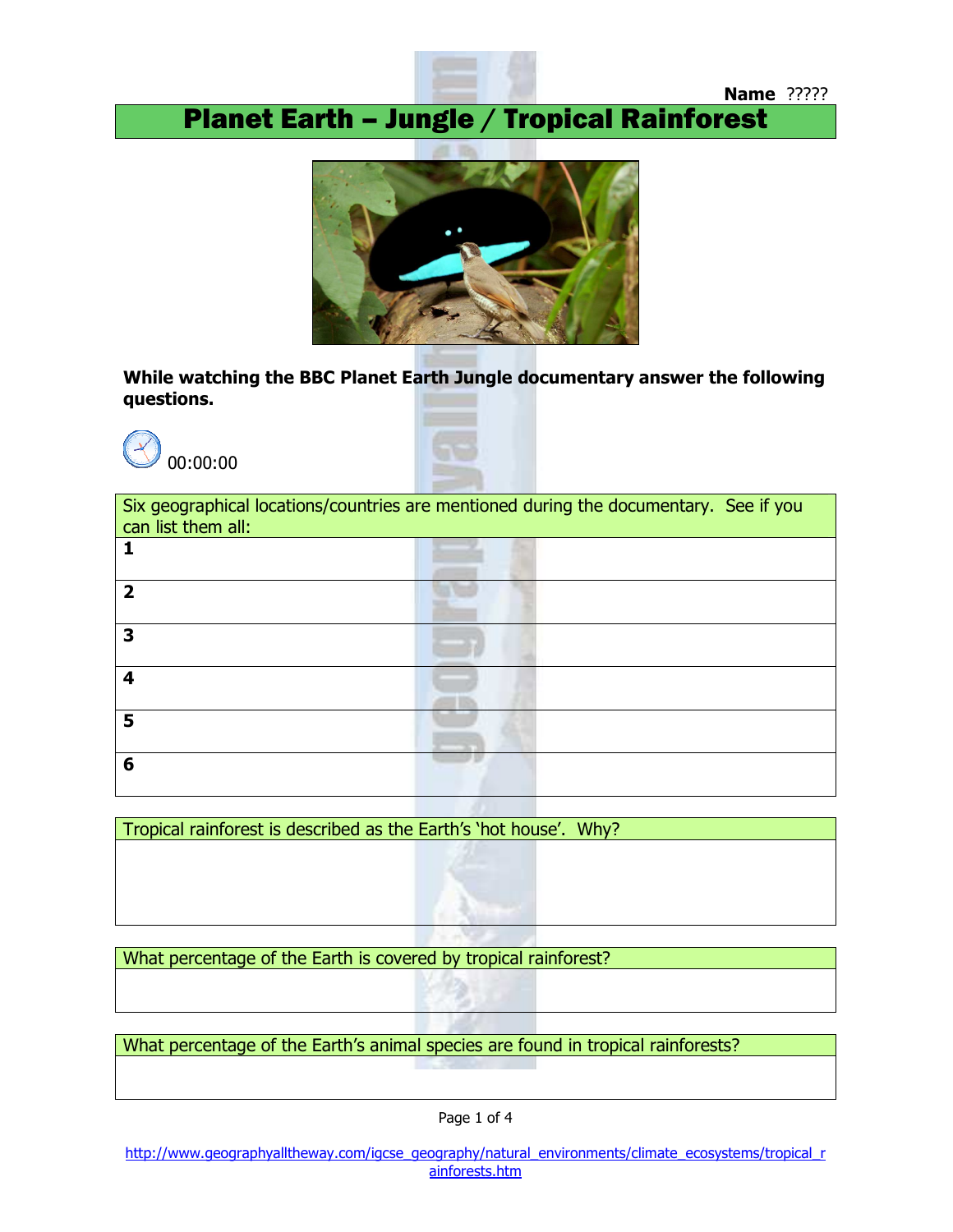

Planet Earth – Jungle / Tropical Rainforest



While watching the BBC Planet Earth Jungle documentary answer the following questions.





| Six geographical locations/countries are mentioned during the documentary. See if you<br>can list them all: |  |
|-------------------------------------------------------------------------------------------------------------|--|
|                                                                                                             |  |
| ר                                                                                                           |  |
| 3                                                                                                           |  |
| 4                                                                                                           |  |
| 5                                                                                                           |  |
| 6                                                                                                           |  |

Tropical rainforest is described as the Earth's 'hot house'. Why?

What percentage of the Earth is covered by tropical rainforest?

What percentage of the Earth's animal species are found in tropical rainforests?

Page 1 of 4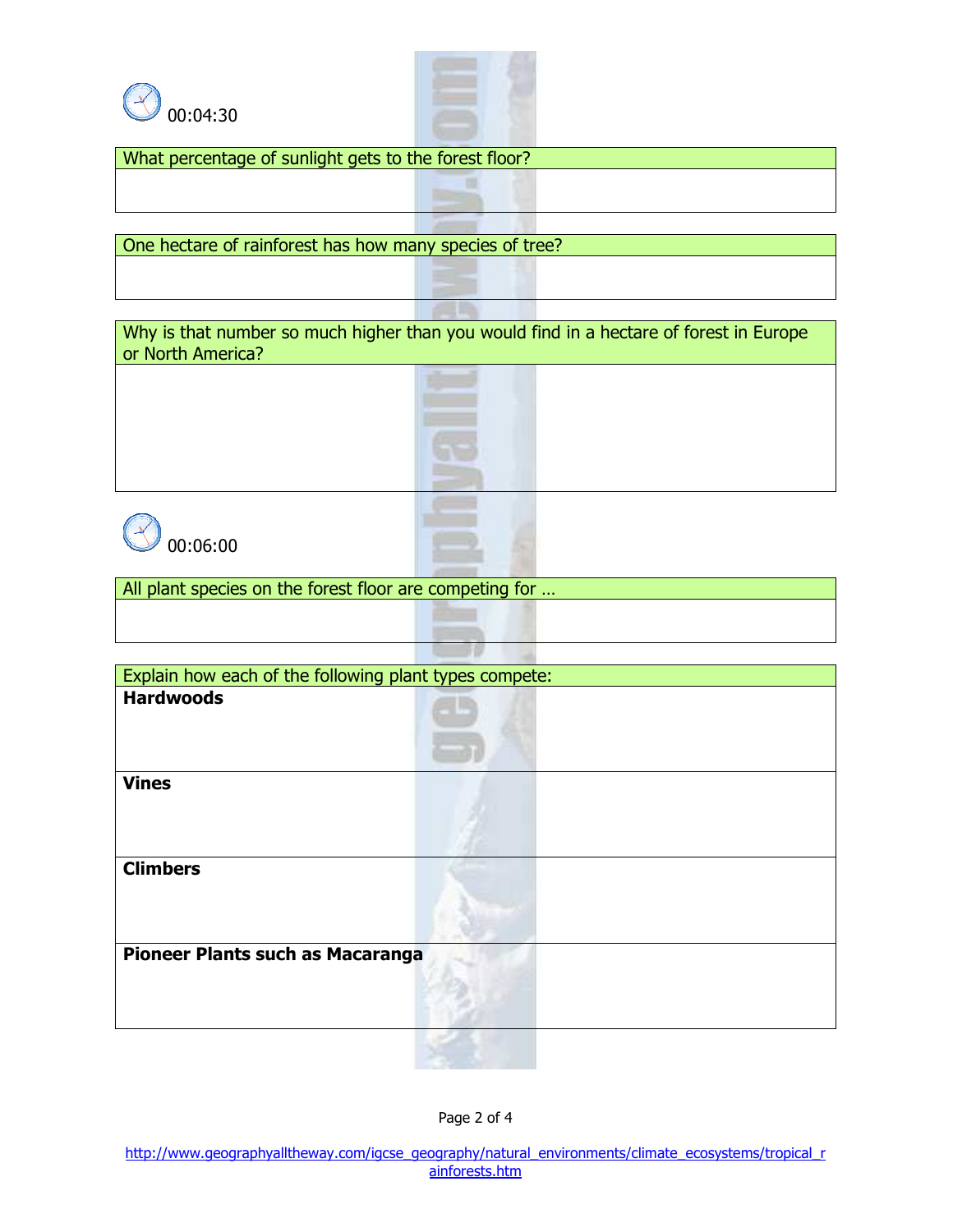



 $\Box$ **Bang** 

What percentage of sunlight gets to the forest floor?

One hectare of rainforest has how many species of tree?

Why is that number so much higher than you would find in a hectare of forest in Europe or North America?



All plant species on the forest floor are competing for …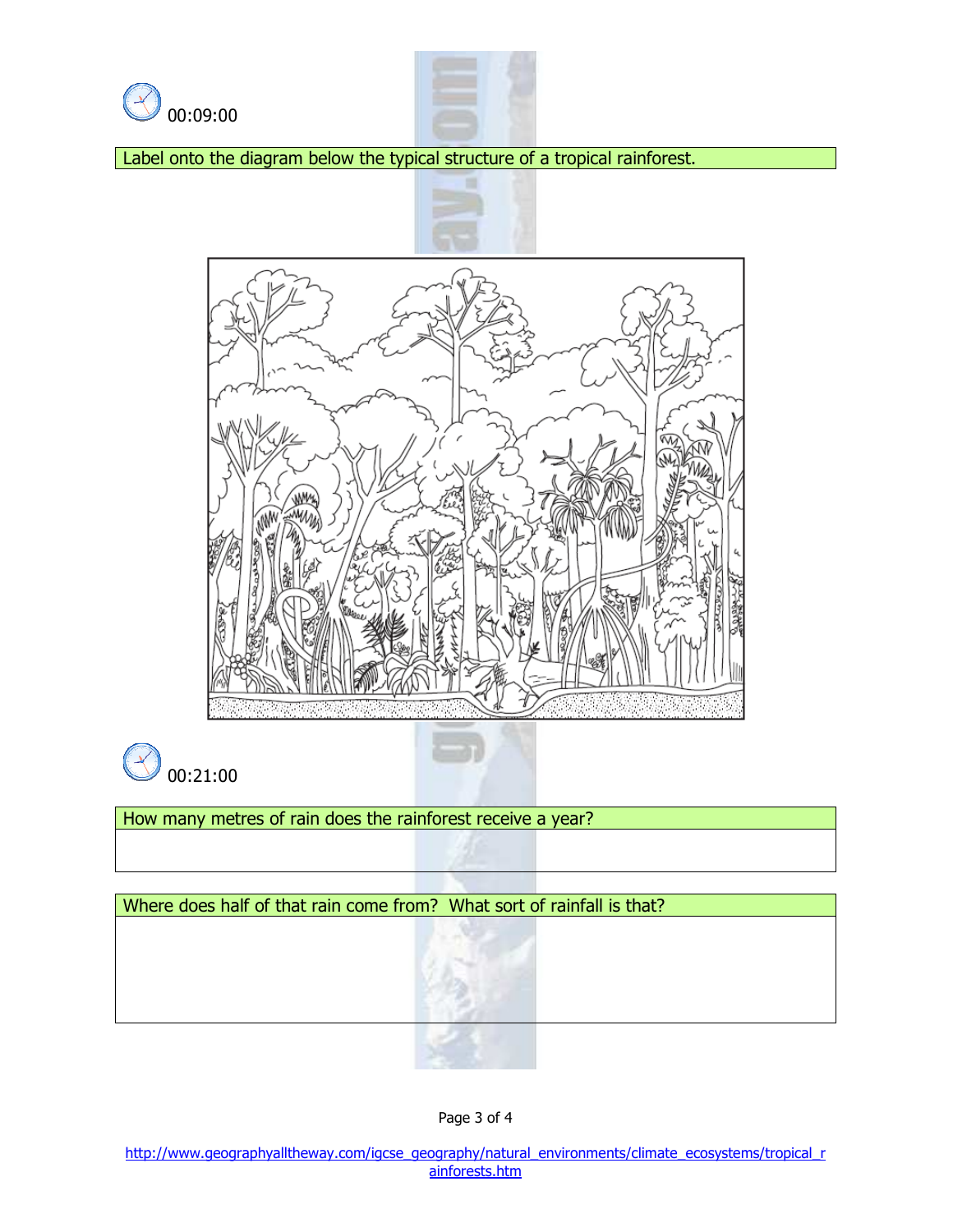



Label onto the diagram below the typical structure of a tropical rainforest.





How many metres of rain does the rainforest receive a year?

Where does half of that rain come from? What sort of rainfall is that?

Page 3 of 4